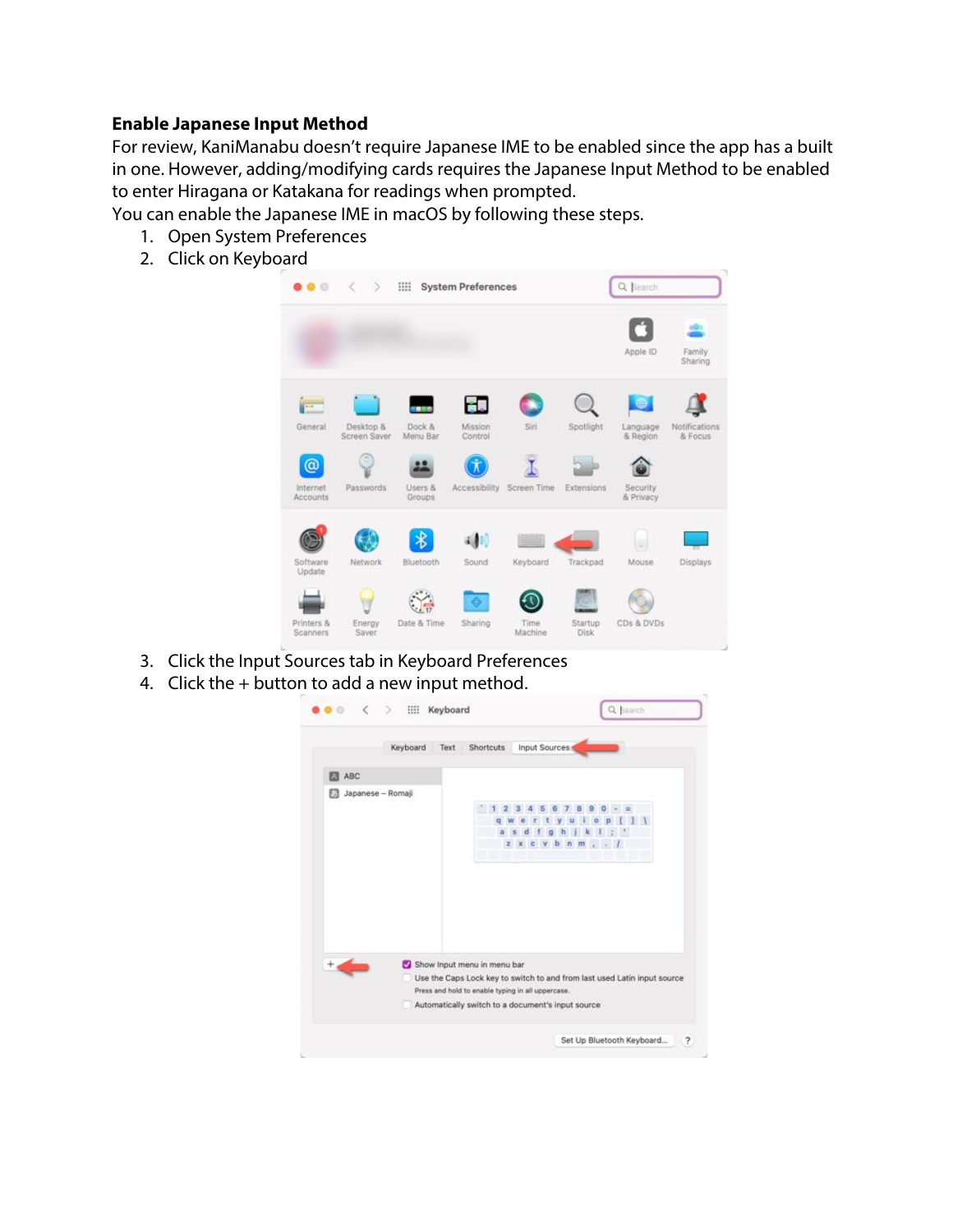### **Enable Japanese Input Method**

For review, KaniManabu doesn't require Japanese IME to be enabled since the app has a built in one. However, adding/modifying cards requires the Japanese Input Method to be enabled to enter Hiragana or Katakana for readings when prompted.

You can enable the Japanese IME in macOS by following these steps.

- 1. Open System Preferences
- 2. Click on Keyboard



- 3. Click the Input Sources tab in Keyboard Preferences
- 4. Click the + button to add a new input method.

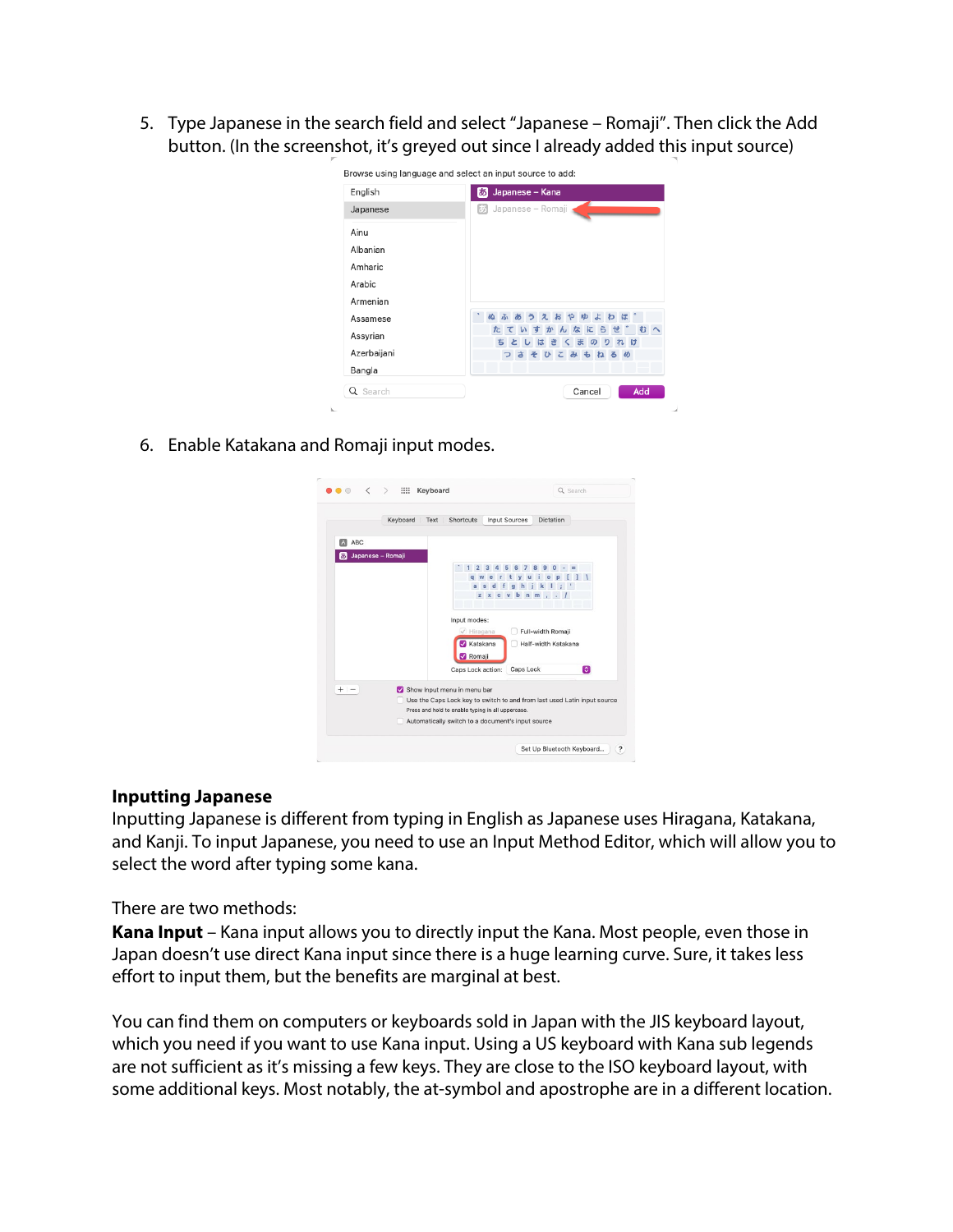5. Type Japanese in the search field and select "Japanese – Romaji". Then click the Add button. (In the screenshot, it's greyed out since I already added this input source)

| English     | Japanese - Kana<br>ぁ                |
|-------------|-------------------------------------|
| Japanese    | Japanese - Romaji                   |
| Ainu        |                                     |
| Albanian    |                                     |
| Amharic     |                                     |
| Arabic      |                                     |
| Armenian    |                                     |
| Assamese    | ぬふあうえおやゆよわほ                         |
| Assyrian    | むっ<br>たていすかんなにらせ<br>れけ<br>ちとしはきくまのり |
| Azerbaijani | つさそひこみもねるめ                          |
| Bangla      |                                     |
| Q Search    | Add<br>Cancel                       |

6. Enable Katakana and Romaji input modes.



#### **Inputting Japanese**

Inputting Japanese is different from typing in English as Japanese uses Hiragana, Katakana, and Kanji. To input Japanese, you need to use an Input Method Editor, which will allow you to select the word after typing some kana.

There are two methods:

**Kana Input** – Kana input allows you to directly input the Kana. Most people, even those in Japan doesn't use direct Kana input since there is a huge learning curve. Sure, it takes less effort to input them, but the benefits are marginal at best.

You can find them on computers or keyboards sold in Japan with the JIS keyboard layout, which you need if you want to use Kana input. Using a US keyboard with Kana sub legends are not sufficient as it's missing a few keys. They are close to the ISO keyboard layout, with some additional keys. Most notably, the at-symbol and apostrophe are in a different location.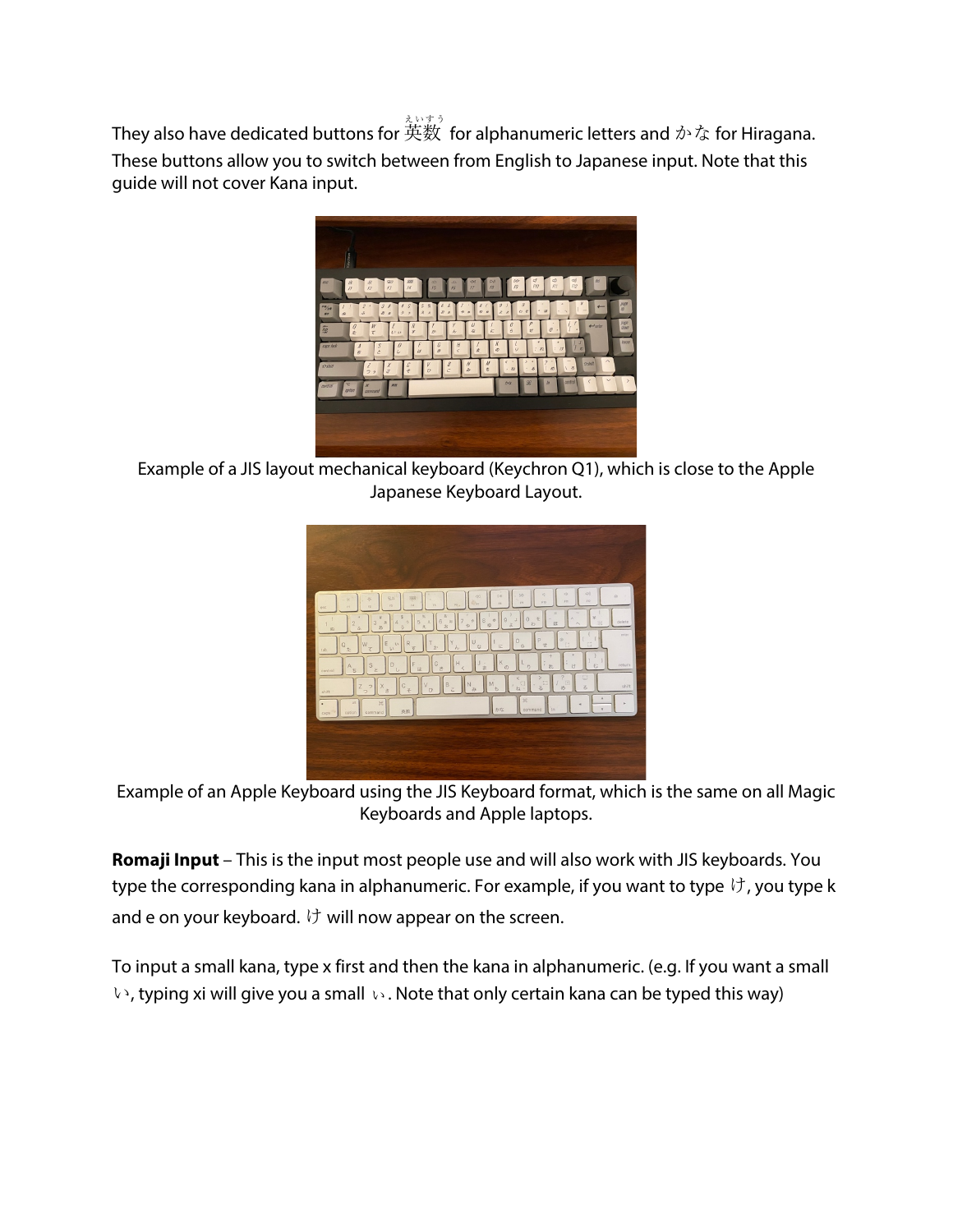They also have dedicated buttons for 英数 for alphanumeric letters and  $\phi$ ^な for Hiragana. These buttons allow you to switch between from English to Japanese input. Note that this guide will not cover Kana input.



Example of a JIS layout mechanical keyboard (Keychron Q1), which is close to the Apple Japanese Keyboard Layout.



Example of an Apple Keyboard using the JIS Keyboard format, which is the same on all Magic Keyboards and Apple laptops.

**Romaji Input** – This is the input most people use and will also work with JIS keyboards. You type the corresponding kana in alphanumeric. For example, if you want to type  $\forall$ , you type k and e on your keyboard.  $\forall$  will now appear on the screen.

To input a small kana, type x first and then the kana in alphanumeric. (e.g. If you want a small **い**, typing xi will give you a small ぃ. Note that only certain kana can be typed this way)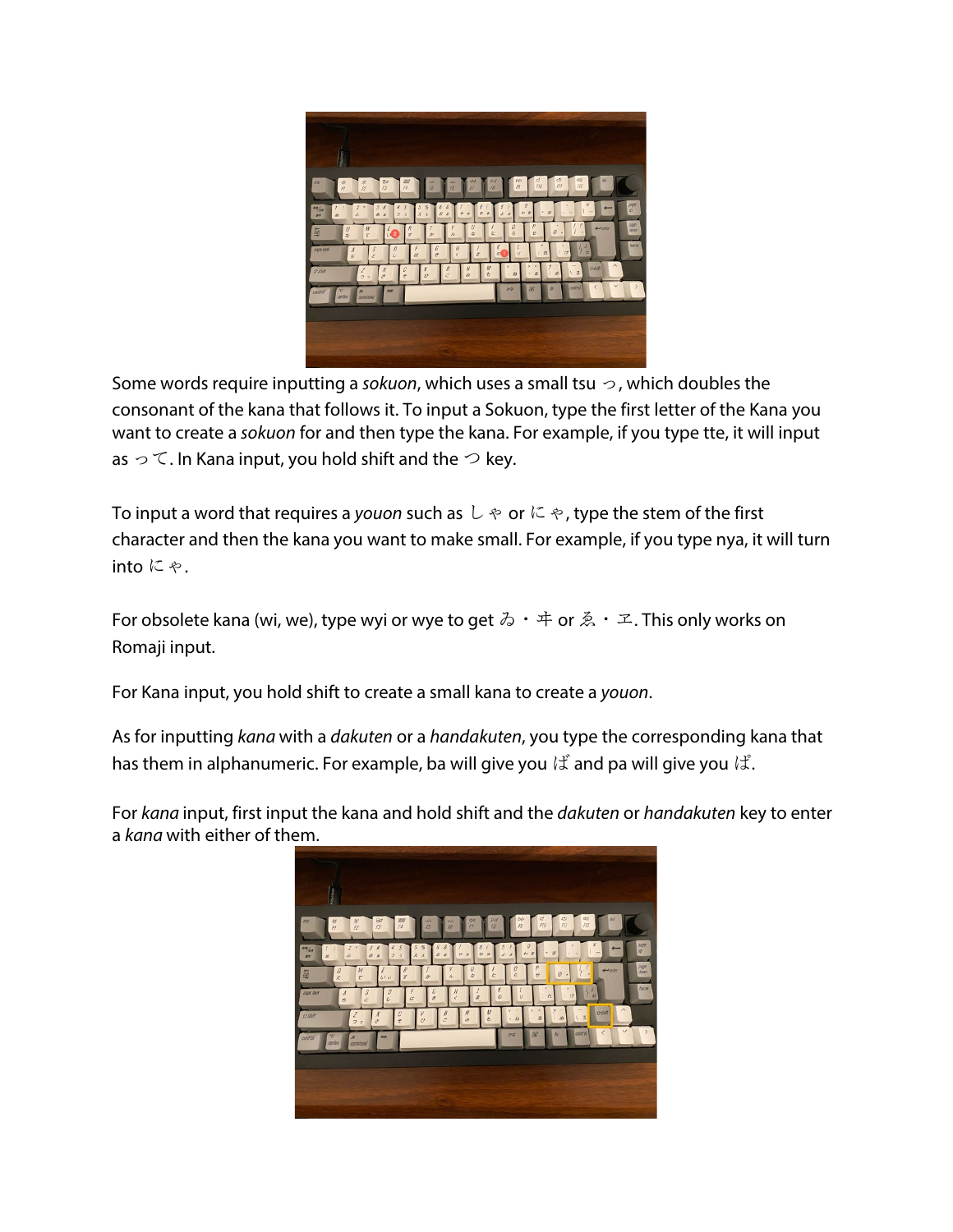

Some words require inputting a *sokuon*, which uses a small tsu っ, which doubles the consonant of the kana that follows it. To input a Sokuon, type the first letter of the Kana you want to create a *sokuon* for and then type the kana. For example, if you type tte, it will input as  $\circ$   $\circ$  . In Kana input, you hold shift and the  $\circ$  key.

To input a word that requires a *youon* such as しゃ or にゃ, type the stem of the first character and then the kana you want to make small. For example, if you type nya, it will turn into にゃ.

For obsolete kana (wi, we), type wyi or wye to get  $\delta \cdot \#$  or  $\mathbb{Z} \cdot \mathbb{Z}$ . This only works on Romaji input.

For Kana input, you hold shift to create a small kana to create a *youon*.

As for inputting *kana* with a *dakuten* or a *handakuten*, you type the corresponding kana that has them in alphanumeric. For example, ba will give you  $\forall$  and pa will give you  $\forall$ .

For *kana* input, first input the kana and hold shift and the *dakuten* or *handakuten* key to enter a *kana* with either of them.